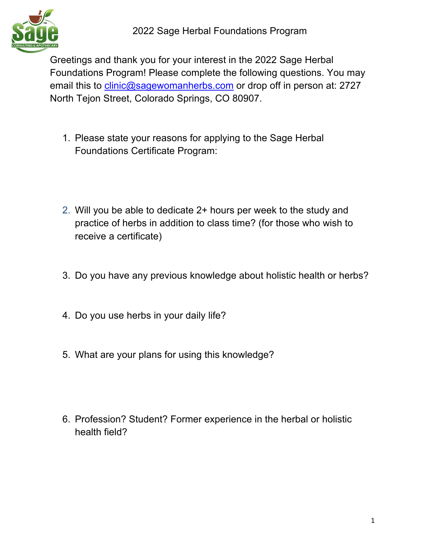

Greetings and thank you for your interest in the 2022 Sage Herbal Foundations Program! Please complete the following questions. You may email this to clinic@sagewomanherbs.com or drop off in person at: 2727 North Tejon Street, Colorado Springs, CO 80907.

- 1. Please state your reasons for applying to the Sage Herbal Foundations Certificate Program:
- 2. Will you be able to dedicate 2+ hours per week to the study and practice of herbs in addition to class time? (for those who wish to receive a certificate)
- 3. Do you have any previous knowledge about holistic health or herbs?
- 4. Do you use herbs in your daily life?
- 5. What are your plans for using this knowledge?
- 6. Profession? Student? Former experience in the herbal or holistic health field?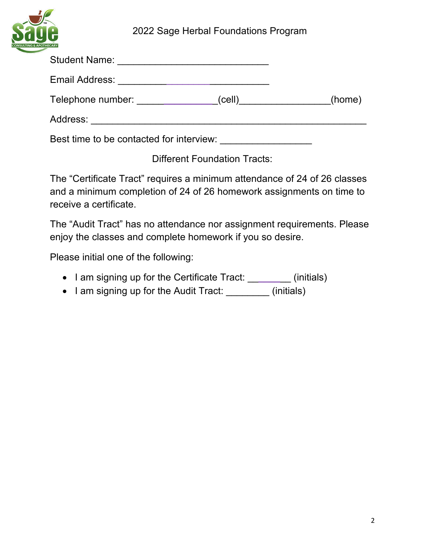

| Telephone number: <u>______</u>          | (home) |
|------------------------------------------|--------|
|                                          |        |
| Best time to be contacted for interview: |        |

Different Foundation Tracts:

The "Certificate Tract" requires a minimum attendance of 24 of 26 classes and a minimum completion of 24 of 26 homework assignments on time to receive a certificate.

The "Audit Tract" has no attendance nor assignment requirements. Please enjoy the classes and complete homework if you so desire.

Please initial one of the following:

- I am signing up for the Certificate Tract: \_\_\_\_\_\_\_\_ (initials)
- I am signing up for the Audit Tract: \_\_\_\_\_\_\_\_\_ (initials)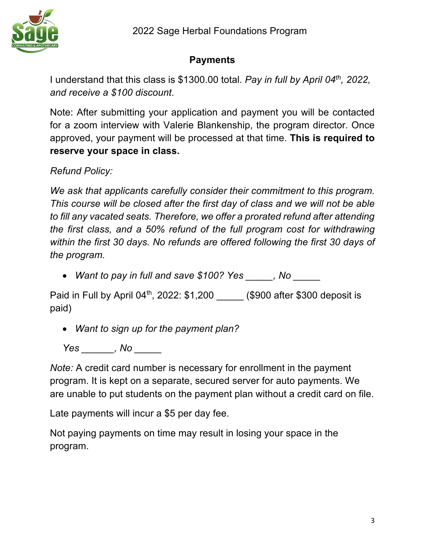

## **Payments**

I understand that this class is \$1300.00 total. *Pay in full by April 04th, 2022, and receive a \$100 discount*.

Note: After submitting your application and payment you will be contacted for a zoom interview with Valerie Blankenship, the program director. Once approved, your payment will be processed at that time. **This is required to reserve your space in class.**

*Refund Policy:*

*We ask that applicants carefully consider their commitment to this program. This course will be closed after the first day of class and we will not be able to fill any vacated seats. Therefore, we offer a prorated refund after attending the first class, and a 50% refund of the full program cost for withdrawing within the first 30 days. No refunds are offered following the first 30 days of the program.*

• *Want to pay in full and save \$100? Yes \_\_\_\_\_, No \_\_\_\_\_*

Paid in Full by April  $04<sup>th</sup>$ , 2022: \$1,200  $\hspace{1.5cm}$  (\$900 after \$300 deposit is paid)

• *Want to sign up for the payment plan?*

*Yes \_\_\_\_\_\_, No \_\_\_\_\_*

*Note:* A credit card number is necessary for enrollment in the payment program. It is kept on a separate, secured server for auto payments. We are unable to put students on the payment plan without a credit card on file.

Late payments will incur a \$5 per day fee.

Not paying payments on time may result in losing your space in the program.